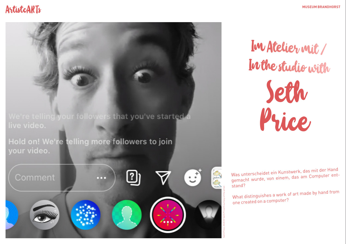## ArtistcARTs **And the Community of the Community of the Community of the Community of the Community of the Community of the Community of the Community of the Community of the Community of the Community of the Community of t**

We're telling your followers that you've started a Hold on! We're telling more followers to join your video. R  $\left[\begin{matrix}2\end{matrix}\right]$  $\left(\cdot\right)$ 

Im Atelier mit / In the studio with

> Seth Price

Was unterscheidet ein Kunstwerk, das mit der Hand Was unterscheider ein name.<br>gemacht wurde, von einem, das am Computer entstand?

What distinguishes a work of art made by hand from one created on a computer?

Seth Price, 2020 © Seth Price/Courtesy of the artist